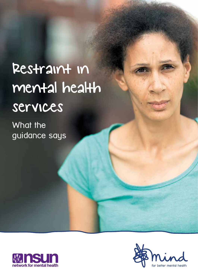# Restraint in mental health services

What the guidance says



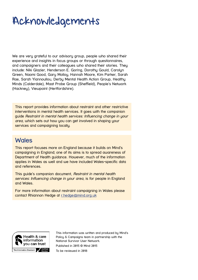# Acknowledgements

We are very grateful to our advisory group, people who shared their experience and insights in focus groups or through questionnaires, and campaigners and their colleagues who shared their stories. They include: Niki Glazier, Henderson E. Goring, Dorothy Gould, Carolyn Green, Naomi Good, Gary Molloy, Hannah Moore, Kim Parker, Sarah Rae, Sarah Yiannoullou, Derby Mental Health Action Group, Healthy Minds (Calderdale), Maat Probe Group (Sheffield), People's Network (Hackney), Viewpoint (Hertfordshire).

This report provides information about restraint and other restrictive interventions in mental health services. It goes with the companion guide Restraint in mental health services: Influencing change in your area, which sets out how you can get involved in shaping your services and campaigning locally.

## **Wales**

This report focuses more on England because it builds on Mind's campaigning in England; one of its aims is to spread awareness of Department of Health guidance. However, much of the information applies in Wales as well and we have included Wales-specific data and references.

This guide's companion document, Restraint in mental health services: Influencing change in your area, is for people in England and Wales.

For more information about restraint campaigning in Wales please contact Rhiannon Hedge at [r.hedge@mind.org.uk](mailto:r.hedge%40mind.org.uk?subject=)



This information was written and produced by Mind's Policy & Campaigns team in partnership with the National Survivor User Network. Published in 2015 © Mind 2015 To be reviewed in 2018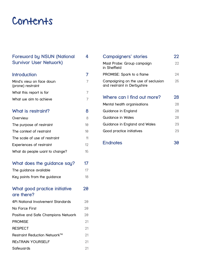# <span id="page-2-0"></span>**Contents**

| <b>Foreword by NSUN (National</b><br><b>Survivor User Network)</b> | 4              |
|--------------------------------------------------------------------|----------------|
| <b>Introduction</b>                                                | 7              |
| Mind's view on face down<br>(prone) restraint                      | 7              |
| What this report is for                                            | $\overline{ }$ |
| What we aim to achieve                                             | 7              |
| What is restraint?                                                 | 8              |
| Overview                                                           | 8              |
| The purpose of restraint                                           | 10             |
| The context of restraint                                           | 10             |
| The scale of use of restraint                                      | 11             |
| <b>Experiences of restraint</b>                                    | 12             |
| What do people want to change?                                     | 16             |
| What does the guidance say?                                        | 17             |
| The guidance available                                             | 17             |
| Key points from the guidance                                       | 18             |
| What good practice initiative<br>are there?                        | 20             |
| 4Pi National Involvement Standards                                 | 20             |
| No Force First                                                     | 20             |
| Positive and Safe Champions Network                                | 20             |
| <b>PROMISE</b>                                                     | 21             |
| <b>RESPECT</b>                                                     | 21             |
| Restraint Reduction Network™                                       | 21             |
| <b>RESTRAIN YOURSELF</b>                                           | 21             |
| Safewards                                                          | 21             |

| <b>Campaigners' stories</b>                                        | 22 |
|--------------------------------------------------------------------|----|
| Maat Probe: Group campaign<br>in Sheffield                         | 22 |
| <b>PROMISE: Spark to a flame</b>                                   | 24 |
| Campaigning on the use of seclusion<br>and restraint in Derbyshire | 26 |
| Where can I find out more?                                         | 28 |
| Mental health organisations                                        | 28 |
| Guidance in England                                                | 28 |
| Guidance in Wales                                                  | 28 |
| Guidance in England and Wales                                      | 29 |
| Good practice initiatives                                          | 29 |
| Endnotes                                                           |    |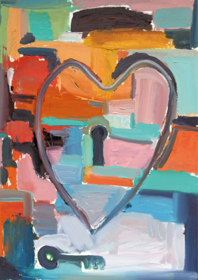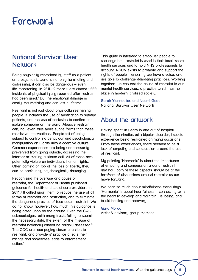# Foreword

# **National Survivor User Network**

Being physically restrained by staff as a patient on a psychiatric ward is not only humiliating and distressing, it can also be dangerous – even life-threatening. In 2011–12 there were almost 1,000 incidents of physical injury reported after restraint had been used.<sup>1</sup> But the emotional damage is costly, traumatising and can last a lifetime.

Restraint is not just about physically restraining people. It includes the use of medication to subdue patients, and the use of seclusion to confine and isolate someone on the ward. Abusive restraint can, however, take more subtle forms than these restrictive interventions. People tell of being subject to controlling behaviour and psychological manipulation on wards with a coercive culture. Common experiences are being unnecessarily prevented from going outside, accessing the internet or making a phone call. All of these acts potentially violate an individual's human rights. Often coming on top of the loss of liberty, they can be profoundly psychologically damaging.

Recognising the overuse and abuse of restraint, the Department of Health published guidance for health and social care providers in 2014.<sup>2</sup> It called upon them to reduce the use of all forms of restraint and restriction, and to eliminate the dangerous practice of face down restraint. We do not know, however, how much this guidance is being acted upon on the ground. Even the CQC acknowledges, with many trusts failing to submit the necessary data, the extent of the misuse of restraint nationally cannot be reliably assessed.<sup>3</sup> The CQC are now paying closer attention to restraint, and providers' practice affects their ratings and sometimes leads to enforcement action.4

This guide is intended to empower people to challenge how restraint is used in their local mental health services and to hold NHS professionals to account. NSUN exists to promote and support the rights of people – ensuring we have a voice, and are able to challenge damaging practices. Working together, we can end the abuse of restraint in our mental health services, a practice which has no place in modern, civilised society.

**Sarah Yiannoullou and Naomi Good**  National Survivor User Network

# **About the artwork**

Having spent 10 years in and out of hospital through the nineties with bipolar disorder, I would experience being restrained on many occasions. From these experiences, there seemed to be a lack of empathy and compassion around the use of restraint.

My painting 'Harmonia' is about the importance of empathy and compassion around restraint and how both of these aspects should be at the forefront of discussions around restraint as we move forward.

We hear so much about mindfulness these days. 'Harmonia' is about heartfulness – connecting with the heart to develop and maintain wellbeing, and to aid healing and recovery.

#### **Gary Molloy**

Artist & advisory group member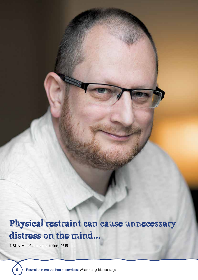# Physical restraint can cause unnecessary distress on the mind…

NSUN Manifesto consultation, 2015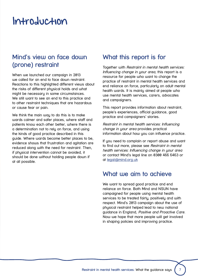# <span id="page-6-0"></span>Introduction

## **Mind's view on face down (prone) restraint**

When we launched our campaign in 2013 we called for an end to face down restraint. Reactions to this highlighted different views about the risks of different physical holds and what might be necessary in some circumstances. We still want to see an end to this practice and to other restraint techniques that are hazardous or cause fear or pain.

We think the main way to do this is to make wards calmer and safer places, where staff and patients know each other better, where there is a determination not to rely on force, and using the kinds of good practice described in this guide. Where wards become better places to be, evidence shows that frustration and agitation are reduced along with the need for restraint. Then, if physical intervention cannot be avoided, it should be done without holding people down if at all possible.

# **What this report is for**

Together with Restraint in mental health services: Influencing change in your area, this report is a resource for people who want to change the practice of restraint in mental health services and end reliance on force, particularly on adult mental health wards. It is mainly aimed at people who use mental health services, carers, advocates and campaigners.

This report provides information about restraint, people's experiences, official guidance, good practice and campaigners' stories.

Restraint in mental health services: Influencing change in your area provides practical information about how you can influence practice.

If you need to complain or report abuse and want to find out more, please see Restraint in mental health services: Influencing change in your area or contact Mind's legal line on 0300 466 6463 or at [legal@mind.org.uk](mailto:legal@mind.org.uk)

## **What we aim to achieve**

We want to spread good practice and end reliance on force. Both Mind and NSUN have campaigned for people using mental health services to be treated fairly, positively and with respect. Mind's 2013 campaign about the use of physical restraint helped lead to new national guidance in England, Positive and Proactive Care. Now we hope that more people will get involved in shaping policies and improving practice.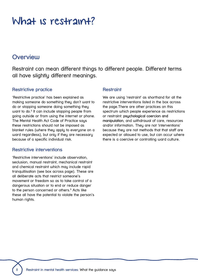# <span id="page-7-0"></span>What is restraint?

## **Overview**

Restraint can mean different things to different people. Different terms all have slightly different meanings.

### **Restrictive practice**

'Restrictive practice' has been explained as making someone do something they don't want to do or stopping someone doing something they want to do.<sup>5</sup> It can include stopping people from going outside or from using the internet or phone. The Mental Health Act Code of Practice says these restrictions should not be imposed as blanket rules (where they apply to everyone on a ward regardless), but only if they are necessary because of a specific individual risk.

#### **Restrictive interventions**

'Restrictive interventions' include observation, seclusion, manual restraint, mechanical restraint and chemical restraint which may include rapid tranquillisation (see box across page). These are all deliberate acts that restrict someone's movement or freedom so as to take control of a dangerous situation or to end or reduce danger to the person concerned or others.<sup>5</sup> Acts like these all have the potential to violate the person's human rights.

#### **Restraint**

We are using 'restraint' as shorthand for all the restrictive interventions listed in the box across the page.There are other practices on this spectrum which people experience as restrictions or restraint: **psychological coercion and manipulation**, and withdrawal of care, resources and/or information. They are not 'interventions' because they are not methods that that staff are expected or allowed to use, but can occur where there is a coercive or controlling ward culture.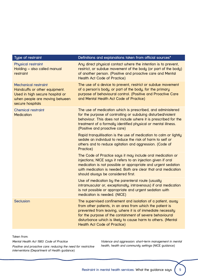| Type of restraint                                                                                                                                     | Definitions and explanations taken from official sources*                                                                                                                                                                                                                                                                                          |
|-------------------------------------------------------------------------------------------------------------------------------------------------------|----------------------------------------------------------------------------------------------------------------------------------------------------------------------------------------------------------------------------------------------------------------------------------------------------------------------------------------------------|
| <b>Physical restraint</b><br>Holding - also called manual<br>restraint                                                                                | Any direct physical contact where the intention is to prevent,<br>restrict, or subdue movement of the body (or part of the body)<br>of another person. (Positive and proactive care and Mental<br><b>Health Act Code of Practice)</b>                                                                                                              |
| <b>Mechanical restraint</b><br>Handcuffs or other equipment.<br>Used in high secure hospital or<br>when people are moving between<br>secure hospitals | The use of a device to prevent, restrict or subdue movement<br>of a person's body, or part of the body, for the primary<br>purpose of behavioural control. (Positive and Proactive Care<br>and Mental Health Act Code of Practice)                                                                                                                 |
| <b>Chemical restraint</b><br><b>Medication</b>                                                                                                        | The use of medication which is prescribed, and administered<br>for the purpose of controlling or subduing disturbed/violent<br>behaviour. This does not include where it is prescribed for the<br>treatment of a formally identified physical or mental illness.<br>(Positive and proactive care)                                                  |
|                                                                                                                                                       | Rapid tranguillisation is the use of medication to calm or lightly<br>sedate an individual to reduce the risk of harm to self or<br>others and to reduce agitation and aggression. (Code of<br>Practice)                                                                                                                                           |
|                                                                                                                                                       | The Code of Practice says it may include oral medication or<br>injections; NICE says it refers to an injection given if oral<br>medication is not possible or appropriate and urgent sedation<br>with medication is needed. Both are clear that oral medication<br>should always be considered first.                                              |
|                                                                                                                                                       | Use of medication by the parenteral route (usually<br>intramuscular or, exceptionally, intravenous) if oral medication<br>is not possible or appropriate and urgent sedation with<br>medication is needed. (NICE)                                                                                                                                  |
| <b>Seclusion</b>                                                                                                                                      | The supervised confinement and isolation of a patient, away<br>from other patients, in an area from which the patient is<br>prevented from leaving, where it is of immediate necessity<br>for the purpose of the containment of severe behavioural<br>disturbance which is likely to cause harm to others. (Mental<br>Health Act Code of Practice) |

Taken from:

Mental Health Act 1983: Code of Practice

Positive and proactive care: reducing the need for restrictive interventions (Department of Health guidance)

Violence and aggression: short-term management in mental health, health and community settings (NICE guidance)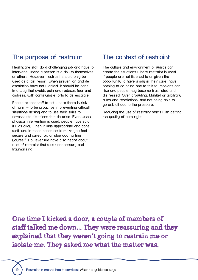# <span id="page-9-0"></span>**The purpose of restraint**

Healthcare staff do a challenging job and have to intervene where a person is a risk to themselves or others. However, restraint should only be used as a last resort, when prevention and deescalation have not worked. It should be done in a way that avoids pain and reduces fear and distress, with continuing efforts to de-escalate.

People expect staff to act where there is risk of harm – to be proactive in preventing difficult situations arising and to use their skills to de-escalate situations that do arise. Even when physical intervention is used, people have said it was okay when it was appropriate and done well, and in these cases could make you feel secure and cared for, or stop you hurting yourself. However we have also heard about a lot of restraint that was unnecessary and traumatising.

# **The context of restraint**

The culture and environment of wards can create the situations where restraint is used. If people are not listened to or given the opportunity to have a say in their care, have nothing to do or no-one to talk to, tensions can rise and people may become frustrated and distressed. Over-crowding, blanket or arbitrary rules and restrictions, and not being able to go out, all add to the pressure.

Reducing the use of restraint starts with getting the quality of care right.

One time I kicked a door, a couple of members of staff talked me down… They were reassuring and they explained that they weren't going to restrain me or isolate me. They asked me what the matter was.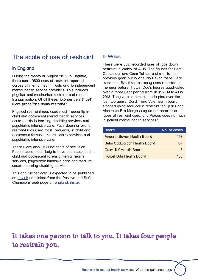# <span id="page-10-0"></span>**The scale of use of restraint**

## **In England**

During the month of August 2015, in England, there were 9600 uses of restraint reported across all mental health trusts and 15 independent mental health service providers. This includes physical and mechanical restraint and rapid tranquillisation. Of all these, 16.5 per cent (1,591) were prone/face down restraint.<sup>7</sup>

Physical restraint was used most frequently in child and adolescent mental health services, acute wards in learning disability services and psychiatric intensive care. Face down or prone restraint was used most frequently in child and adolescent forensic mental health services and psychiatric intensive care.

There were also 1,671 incidents of seclusion. People were most likely to have been secluded in child and adolescent forensic mental health services, psychiatric intensive care and medium secure learning disability services.

This and further data is expected to be published on [gov.uk](http://www.gov.uk) and linked from the Positive and Safe Champions web page on [england.nhs.uk](http://www.england.nhs.uk/6cs/groups/positive-safe-champions/)

#### **In Wales**

There were 382 recorded uses of face down restraint in Wales 2014–15. The figures for Betsi Cadwaladr and Cwm Taf were similar to the previous year, but in Aneurin Bevan there were more than five times as many uses reported as the year before. Hywel Dda's figures quadrupled over a three year period from 10 in 2010 to 41 in 2013. They've also almost quadrupled over the last two years. Cardiff and Vale health board stopped using face down restraint ten years ago, Abertawe Bro Morgannwg do not record the tupes of restraint used, and Powys does not have in-patient mental health services.<sup>8</sup>

| <b>Board</b>                        | No. of cases     |
|-------------------------------------|------------------|
| Aneurin Bevan Health Board          | 150              |
| <b>Betsi Cadwaladr Health Board</b> | 64               |
| <b>Cwm Taf Health Board</b>         | $15\overline{)}$ |
| <b>Hywel Dda Health Board</b>       | 153              |

It takes one person to talk to you. It takes four people to restrain you.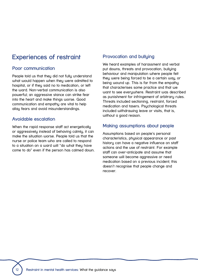# <span id="page-11-0"></span>**Experiences of restraint**

#### **Poor communication**

People told us that they did not fully understand what would happen when they were admitted to hospital, or if they said no to medication, or left the ward. Non-verbal communication is also powerful; an aggressive stance can strike fear into the heart and make things worse. Good communication and empathy are vital to help allay fears and avoid misunderstandings.

#### **Avoidable escalation**

When the rapid response staff act energetically or aggressively instead of behaving calmly, it can make the situation worse. People told us that the nurse or police team who are called to respond to a situation on a ward will "do what they have come to do" even if the person has calmed down.

## **Provocation and bullying**

We heard examples of harassment and verbal put downs, threats and provocation, bullying behaviour and manipulation where people felt they were being forced to be a certain way, or being wound up. This is far from the empathy that characterises some practice and that we want to see everywhere. Restraint was described as punishment for infringement of arbitrary rules. Threats included sectioning, restraint, forced medication and tasers. Psychological threats included withdrawing leave or visits, that is, without a good reason.

### **Making assumptions about people**

Assumptions based on people's personal characteristics, physical appearance or past history can have a negative influence on staff actions and the use of restraint. For example staff can over-anticipate and assume that someone will become aggressive or need medication based on a previous incident; this doesn't recognise that people change and recover.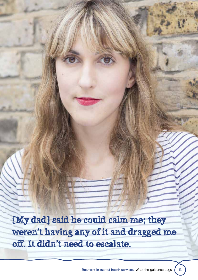[My dad] said he could calm me; they weren't having any of it and dragged me off. It didn't need to escalate.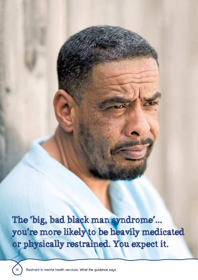The 'big, bad black man syndrome'… you're more likely to be heavily medicated or physically restrained. You expect it.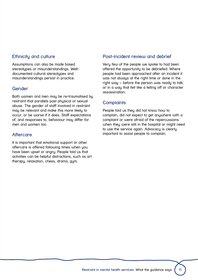## **Ethnicity and culture**

Assumptions can also be made based stereotypes or misunderstandings. Welldocumented cultural stereotypes and misunderstandings persist in practice.

#### **Gender**

Both women and men may be re-traumatised by restraint that parallels past physical or sexual abuse. The gender of staff involved in restraint may be relevant and make this more likely to occur, or be worse if it does. Staff expectations of, and responses to, behaviour may differ for men and women too.

#### **Aftercare**

It is important that emotional support or other aftercare is offered following times when you have been upset or angry. People told us that activities can be helpful distractions, such as art therapy, relaxation, chess, drama, gym.

## **Post-incident review and debrief**

Very few of the people we spoke to had been offered the opportunity to be debriefed. Where people had been approached after an incident it was not always at the right time or done in the right way – before the person was ready to talk, or in a way that felt like a telling off or character assassination.

### **Complaints**

People told us they did not know how to complain, did not expect to get anywhere with a complaint or were afraid of the repercussions when they were still in the hospital or might need to use the service again. Advocacy is clearly important to assist people to complain.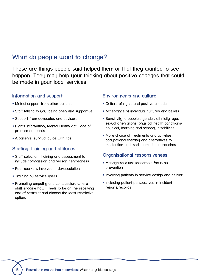## <span id="page-15-0"></span>**What do people want to change?**

These are things people said helped them or that they wanted to see happen. They may help your thinking about positive changes that could be made in your local services.

#### **Information and support**

- Mutual support from other patients
- Staff talking to you, being open and supportive
- Support from advocates and advisers
- Rights information, Mental Health Act Code of practice on wards
- A patients' survival guide with tips

#### **Staffing, training and attitudes**

- Staff selection, training and assessment to include compassion and person-centredness
- Peer workers involved in de-escalation
- Training by service users
- Promoting empathy and compassion, where staff imagine how it feels to be on the receiving end of restraint and choose the least restrictive option.

#### **Environments and culture**

- Culture of rights and positive attitude
- Acceptance of individual cultures and beliefs
- Sensitivity to people's gender, ethnicity, age, sexual orientations, physical health conditions/ physical, learning and sensory disabilities
- More choice of treatments and activities, occupational therapy and alternatives to medication and medical model approaches

#### **Organisational responsiveness**

- Management and leadership focus on prevention
- Involving patients in service design and delivery
- Including patient perspectives in incident reports/records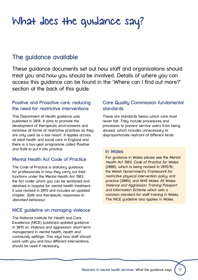# <span id="page-16-0"></span>What does the guidance say?

# **The guidance available**

These guidance documents set out how staff and organisations should treat you and how you should be involved. Details of where you can access this guidance can be found in the 'Where can I find out more?' section at the back of this guide.

## **Positive and Proactive care: reducing the need for restrictive interventions**

This Department of Health guidance was published in 2014. It aims to promote the development of therapeutic environments and minimise all forms of restrictive practices so they are only used as a last resort. It applies across all adult health and social care in England and there is a two year programme called Positive and Safe to put it into practice.

## **Mental Health Act Code of Practice**

The Code of Practice is statutory guidance for professionals in how they carry out their functions under the Mental Health Act 1983, the Act under which you can be sectioned and detained in hospital for mental health treatment. It was revised in 2015 and includes an updated chapter, Safe and therapeutic responses to disturbed behaviour.

### **NICE guideline on managing violence**

The National Institute for Health and Care Excellence (NICE) published updated guidance in 2015 on Violence and aggression: short-term management in mental health, health and community settings. This says how staff should work with you and how different interventions should be used if necessary.

## **Care Quality Commission fundamental standards**

These are standards below which care must never fall. They include procedures and processes to prevent service users from being abused, which includes unnecessary or disproportionate restraint of different kinds.

#### **In Wales**

For guidance in Wales please see the Mental Health Act 1983: Code of Practice for Wales (2008), which is being revised in 2015/16; the Welsh Government's Framework for restrictive physical intervention policy and practice (2005); and NHS Wales All Wales Violence and Aggression Training Passport and Information Scheme which sets a common standard for staff training in Wales. The NICE guideline also applies in Wales.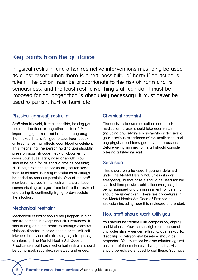# <span id="page-17-0"></span>**Key points from the guidance**

Physical restraint and other restrictive interventions must only be used as a last resort when there is a real possibility of harm if no action is taken. The action must be proportionate to the risk of harm and its seriousness, and the least restrictive thing staff can do. It must be imposed for no longer than is absolutely necessary. It must never be used to punish, hurt or humiliate.

### **Physical (manual) restraint**

Staff should avoid, if at all possible, holding you down on the floor or any other surface.<sup>9</sup> Most importantly, you must not be held in any way that makes it hard for you to see, hear, speak or breathe, or that affects your blood circulation. This means that the person holding you shouldn't press on your rib cage, neck or abdomen, or cover your eyes, ears, nose or mouth. You should be held for as short a time as possible; NICE says this should not usually be for more than 10 minutes. But any restraint must always be ended as soon as possible. One of the staff members involved in the restraint should keep communicating with you from before the restraint and during it, continually trying to de-escalate the situation.

### **Mechanical restraint**

Mechanical restraint should only happen in highsecure settings in exceptional circumstances. It should only as a last resort to manage extreme violence directed at other people or to limit selfinjurious behaviour of extremely high frequency or intensity. The Mental Health Act Code of Practice sets out how mechanical restraint should be authorised, recorded, reviewed and ended.

### **Chemical restraint**

The decision to use medication, and which medication to use, should take your views (including any advance statements or decisions), your previous experience of the medication, and any physical problems you have in to account. Before giving an injection, staff should consider offering a tablet instead.

#### **Seclusion**

This should only be used if you are detained under the Mental Health Act, unless it is an emergency. In that case it should be used for the shortest time possible while the emergency is being managed and an assessment for detention should be undertaken. There are procedures in the Mental Health Act Code of Practice on seclusion including how it is reviewed and ended.

### **How staff should work with you**

You should be treated with compassion, dignity and kindness. Your human rights and personal characteristics – gender, ethnicity, age, sexuality, disability, or religion and beliefs – should be respected. You must not be discriminated against because of these characteristics, and services should be actively shaped to suit these. You have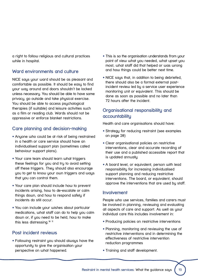a right to follow religious and cultural practices while in hospital.

### **Ward environments and culture**

NICE says your ward should be as pleasant and comfortable as possible. It should be easy to find your way around and doors shouldn't be locked unless necessary. You should be able to have some privacy, go outside and take physical exercise. You should be able to access psychological therapies (if suitable) and leisure activities such as a film or reading club. Wards should not be oppressive or enforce blanket restrictions.

## **Care planning and decision-making**

- Anyone who could be at risk of being restrained in a health or care service should have an individualised support plan (sometimes called behaviour support plans).
- Your care team should learn what triggers these feelings for you and try to avoid setting off these triggers. They should also encourage you to get to know your own triggers and ways that you can control them.
- Your care plan should include how to prevent incidents arising, how to de-escalate or calm things down, and how to respond safely if incidents do still occur.
- You can include your wishes about particular medications, what staff can do to help you calm down or, if you need to be held, how to make this less distressing.<sup>10</sup> <sup>11</sup>

## **Post incident reviews**

• Following restraint you should always have the opportunity to give the organisation your perspective on what happened.

- This is so the organisation understands from your point of view what you needed, what upset you most, what staff did that helped or was wrong and how things could be better next time.
- NICE says that, in addition to being debriefed, there should also be a formal external postincident review led by a service user experience monitoring unit or equivalent. This should be done as soon as possible and no later than 72 hours after the incident.

## **Organisational responsibility and accountability**

Health and care organisations should have:

- Strategy for reducing restraint (see examples on page 20)
- Clear organisational policies on restrictive interventions, clear and accurate recording of their use and a published accessible report that is updated annually
- A board level, or equivalent, person with lead responsibility for increasing individualised support planning and reducing restrictive interventions. The board, or equivalent, should approve the interventions that are used by staff.

#### **Involvement**

People who use services, families and carers must be involved in planning, reviewing and evaluating all aspects of care and support. As well as your individual care this includes involvement in:

- Producing policies on restrictive interventions
- Planning, monitoring and reviewing the use of restrictive interventions and in determining the effectiveness of restrictive intervention reduction programmes
- Training and staff development.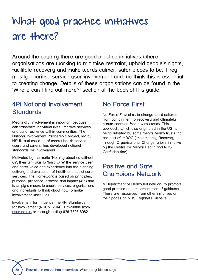# <span id="page-19-0"></span>What good practice initiatives are there?

Around the country there are good practice initiatives where organisations are working to minimise restraint, uphold people's rights, facilitate recovery and make wards calmer, safer places to be. They mostly prioritise service user involvement and we think this is essential to creating change. Details of these organisations can be found in the 'Where can I find out more?' section at the back of this guide.

## **4Pi National Involvement Standards**

Meaningful involvement is important because it can transform individual lives, improve services and build resilience within communities. The National Involvement Partnership project, led by NSUN and made up of mental health service users and carers, has developed national standards for involvement.

Motivated by the motto 'Nothing about us without us', their aim was to 'hard wire' the service user and carer voice and experience into the planning, delivery and evaluation of health and social care services. The framework is based on principles, purpose, presence, process and impact (4Pi) and is simply a means to enable services, organisations and individuals to think about how to make involvement work well.

Involvement for Influence: the 4Pi Standards for Involvement (NSUN, 2014) is available from [nsun.org.uk](http://www.nsun.org.uk/about-us/our-work/national-involvement-partnership/) or through calling 020 7820 8982

# **No Force First**

No Force First aims to change ward cultures from containment to recovery and ultimately create coercion free environments. This approach, which also originated in the US, is being adopted by some mental health trusts that are part of ImROC (Implementing Recovery through Organisational Change, a joint initiative by the Centre for Mental Health and NHS Confederation).

# **Positive and Safe Champions Network**

A Department of Health led network to promote good practice and implementation of guidance. There are resources from other initiatives on their pages on NHS England's website.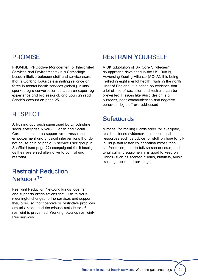# <span id="page-20-0"></span>**PROMISE**

PROMISE (PROactive Management of Intergrated Services and Environments) is a Cambridgebased initiative between staff and service users that is working towards eliminating reliance on force in mental health services globally. It was sparked by a conversation between an expert by experience and professional, and you can read Sarah's account on page 26.

## **RESPECT**

A training approach supervised by Lincolnshire social enterprise NAViGO Health and Social Care. It is based on supportive de-escalation, empowerment and physical interventions that do not cause pain or panic. A service user group in Sheffield (see page 22) campaigned for it locally as their preferred alternative to control and restraint.

# **Restraint Reduction Network TM**

Restraint Reduction Network brings together and supports organisations that wish to make meaningful changes to the services and support they offer, so that coercive or restrictive practices are minimised, and the misuse and abuse of restraint is prevented. Working towards restraintfree services.

# **REsTRAIN YOURSELF**

A UK adaptation of Six Core Strategies©, an approach developed in the US. Run by Advancing Quality Alliance (AQuA), it is being trialled in eight mental health trusts in the north west of England. It is based on evidence that a lot of use of seclusion and restraint can be prevented if issues like ward design, staff numbers, poor communication and negative behaviour by staff are addressed

# **Safewards**

A model for making wards safer for everyone, which includes evidence-based tools and resources such as advice for staff on how to talk in ways that foster collaboration rather than confrontation, how to talk someone down, and what calming equipment it is good to keep on wards (such as scented pillows, blankets, music, massage balls and ear plugs).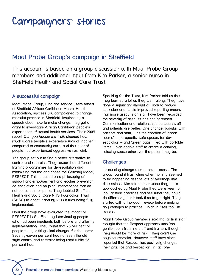# <span id="page-21-0"></span>Campaigners' stories

# **Maat Probe Group's campaign in Sheffield**

This account is based on a group discussion with Maat Probe Group members and additional input from Kim Parker, a senior nurse in Sheffield Health and Social Care Trust.

### **A successful campaign**

Maat Probe Group, who are service users based at Sheffield African Caribbean Mental Health Association, successfully campaigned to change restraint practice in Sheffield. Inspired by a speech about how to make change, they got a grant to investigate African Caribbean people's experiences of mental health services. Their 2009 report Can you handle the truth showed how much worse people's experience was of inpatient compared to community care, and that a lot of people had experienced aggressive restraint.

The group set out to find a better alternative to control and restraint. They researched different training programmes for de-escalation and minimising trauma and chose the Grimsby Model, RESPECT. This is based on a philosophy of support and empowerment and teaches prevention, de-escalation and physical interventions that do not cause pain or panic. They lobbied Sheffield Health and Social Care NHS Foundation Trust (SHSC) to adopt it and by 2013 it was being fully implemented.

Now the group have evaluated the impact of RESPECT in Sheffield, by interviewing people who had been inpatients both before and after its implementation. They found that 75 per cent of people thought things had changed for the better. Seventy-seven per cent had not seen the old style control and restraint being used while 23 per cent had.

Speaking for the Trust, Kim Parker told us that they learned a lot as they went along. They have done a significant amount of work to reduce seclusion and, while improved reporting means that more assaults on staff have been recorded, the severity of assaults has not increased. Communication and relationships between staff and patients are better. One change, popular with patients and staff, was the creation of 'green rooms' – therapeutic, safe spaces for deescalation – and 'green bags' filled with portable items which enable staff to create a calming, relaxing space wherever the patient may be.

## **Challenges**

Introducing change was a slow process. The group found it frustrating when nothing seemed to be happening despite lots of meetings and discussions. Kim told us that when they were approached by Maat Probe they were keen to look at their practices and see what they could do differently, but it took time to get right. They started with a thorough review before making any changes to practice, which in itself took 18 months.

Maat Probe Group members said that at first staff thought that the Respect approach was 'too gentle'; both frontline staff and trainers thought they would be more at risk if they didn't use physical restraint. However staff have since reported that Respect has positively changed their practice and perception. In fact one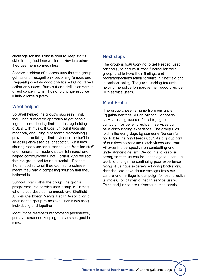challenge for the Trust is how to keep staff's skills in physical intervention up-to-date when they use them so much less.

Another problem of success was that the group got national recognition - becoming famous and frequently cited as good practice – but not direct action or support. Burn out and disillusionment is a real concern when trying to change practice within a large system.

## **What helped**

So what helped the group's success? First, they used a creative approach to get people together and sharing their stories, by holding a BBQ with music. It was fun, but it was still research, and using a research methodology provided credibility – their evidence couldn't be so easily dismissed as 'anecdotal'. But it was sharing those personal stories with frontline staff and trainers that made a powerful impact and helped communicate what worked. And the fact that the group had found a model – Respect – that embodied what they wanted to achieve, meant they had a compelling solution that they believed in.

Support from within the group, the grants programme, the service user group in Grimsby who helped develop the model, and Sheffield African Caribbean Mental Health Association all enabled the group to achieve what it has today – individually and together.

Maat Probe members recommend persistence, perseverance and keeping the common goal in mind.

## **Next steps**

The group is now working to get Respect used nationally, to secure further funding for their group, and to have their findings and recommendations taken forward in Sheffield and in national policy. They are working towards helping the police to improve their good practice with service users.

## **Maat Probe**

'The group chose its name from our ancient Egyptian heritage. As an African Caribbean service user group we found trying to campaign for better practice in services can be a discouraging experience. The group was told in the early days by someone "be careful not to bite the hand feeds you". As a group part of our development we watch videos and read Afro-centric perspective on combatting and understanding racism. We do this to keep us strong so that we can be unapologetic when we work to change the continuing poor experience many of us have experienced going back many decades. We have drawn strength from our culture and heritage to campaign for best practice ultimately for all mental health service users. Truth and justice are universal human needs.'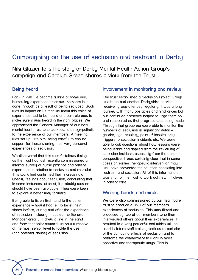# <span id="page-23-0"></span>**Campaigning on the use of seclusion and restraint in Derby**

Niki Glazier tells the story of Derby Mental Health Action Group's campaign and Carolyn Green shares a view from the Trust.

#### **Being heard**

Back in 2011 we became aware of some very harrowing experiences that our members had gone through as a result of being secluded. Such was its impact on us that we knew this voice of experience had to be heard and our role was to make sure it was heard in the right places. We approached the General Manager of our local mental health trust who we knew to be sympathetic to the experience of our members. A meeting was set up with him, being careful to ensure support for those sharing their very personal experiences of seclusion.

We discovered that this was fortuitous timing as the trust had just recently commissioned an internal survey of nurse practice and patient experience in relation to seclusion and restraint. This work had confirmed their increasingly uneasy feelings about seclusion, concluding that in some instances, at least, it probably was or should have been avoidable. They were keen to explore a better way forward.

Being able to listen first hand to the patient experience – how it had felt to be in their shoes before, during and after the experience of seclusion – clearly impacted the General Manager greatly. It drew a line in the sand and from that point onward we saw a resolve at the most senior level to tackle the use (and potential abuse) of seclusion.

#### **Involvement in monitoring and review**

The trust established a Seclusion Project Group which we and another Derbyshire service receiver group attended regularly. It was a long journey with many obstacles and hindrances but our continued presence helped to urge them on and reassured us that progress was being made. Through that group we were able to monitor the numbers of seclusion in significant detail – gender, age, ethnicity, point of hospital stay, triggers to seclusion incidents etc. We were able to ask questions about how lessons were being learnt and applied from the reviewing of seclusion incidents especially from the patient perspective. It was certainly clear that in some cases an earlier therapeutic intervention may well have prevented the situation escalating into restraint and seclusion. All of this information was vital for the trust to work out new initiatives in patient care.

#### **Winning hearts and minds**

We were also commissioned by our healthcare trust to produce a DVD of our members' experiences of seclusion. This was filmed and produced by two of our members who then interviewed others about their experiences. It resulted in a very powerful tool which will be used in future staff training both as a reminder of the damaging effects of seclusion and to reinforce the commitment to work in more proactive and therapeutic ways. This is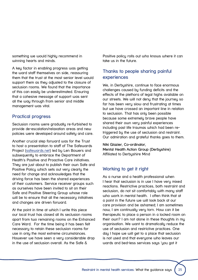something we would highly recommend in winning hearts and minds.

A key factor in enabling progress was getting the ward staff themselves on side, reassuring them that the trust at the most senior level would support them as they adjusted to the closure of seclusion rooms. We found that the importance of this can easily be underestimated. Ensuring that a cohesive message of support was sent all the way through from senior and middle management was vital.

### **Practical progress**

Seclusion rooms were gradually re-furbished to provide de-escalation/relaxation areas and new policies were developed around safety and care.

Another crucial step forward was for the Trust to host a presentation to staff of The Safewards Project ([safewards.net\)](http://www.safewards.net/) led by Len Bowers and subsequently to embrace the Department of Health's Positive and Proactive Care initiatives. They are just about to publish their own Safe and Positive Policy which sets out very clearly the need for change and acknowledges that the driving force has been the shared experiences of their customers. Service receiver groups such as ourselves have been invited to sit on their Safe and Positive Steering Group whose role will be to ensure that all the necessary initiatives and changes are driven forward.

At the point in time at which I write this piece our local trust has closed all its seclusion rooms apart from two remaining rooms on the Enhanced Care Ward. For the time being it has been felt necessary to retain these seclusion rooms for use in only the most extreme circumstances. However we have seen a very considerable drop in the use of seclusion overall. As the Safe &

Positive policy rolls out who knows where it can take us in the future.

## **Thanks to people sharing painful experiences**

We, in Derbyshire, continue to face enormous challenges caused by funding deficits and the effects of the plethora of legal highs available on our streets. We will not deny that the journey so far has been very slow and frustrating at times but we have crossed an important line in relation to seclusion. That has only been possible because some extremely brave people have shared their own very painful experiences including past life traumas which had been retriggered by the use of seclusion and restraint. Our admiration and grateful thanks goes to them.

**Niki Glazier, Co-ordinator, Mental Health Action Group (Derbyshire)** Affiliated to Derbyshire Mind

### **Working to get it right**

As a nurse and a health professional when I hear that seclusion is in use I have very mixed reactions. Restrictive practices, both restraint and seclusion, do not sit comfortably with many staff who work in mental health. I often think that at a point in the future we will look back at our care provision and be ashamed; I am sometimes now, I am continually very torn. How can it be therapeutic to place a person in a locked room on their own? I am not alone in these thoughts in my organisation. We want to dramatically reduce the use of seclusion and restrictive practices. One day I hope we will get to a place that seclusion is not used and that everyone who leaves our wards and bed-less services says 'you got it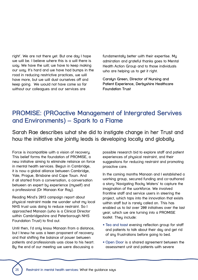<span id="page-25-0"></span>right'. We are not there yet. But one day I hope we will be. I believe where this is a will there is way. We have the will; we have to keep making our way. It's hard and we have had bumps in the road in reducing restrictive practices, we will have more, but we will dust ourselves off and keep going. We would not have come so far without our colleagues and our services are

fundamentally better with their expertise. My admiration and grateful thanks goes to Mental Health Action Group and to those individuals who are helping us to get it right.

**Carolyn Green, Director of Nursing and Patient Experience, Derbyshire Healthcare Foundation Trust**

# **PROMISE: (PROactive Management of Intergrated Servives and Environments) – Spark to a Flame**

Sarah Rae describes what she did to instigate change in her Trust and how the initiative she jointly leads is developing locally and globally.

Force is incompatible with a vision of recovery. This belief forms the foundation of PROMISE, a new initiative aiming to eliminate reliance on force in mental health services. Begun in Cambridge, it is now a global alliance between Cambridge, Yale, Prague, Brisbane and Cape Town. And it all started from a conversation, a conversation between an expert by experience (myself) and a professional (Dr Manaan Kar Ray).

Reading Mind's 2013 campaign report about physical restraint made me wonder what my local NHS trust was doing to reduce restraint. So I approached Manaan (who is a Clinical Director within Cambridgeshire and Peterborough NHS Foundation Trust) to find out.

Until then, I'd only know Manaan from a distance, but I knew he was a keen proponent of recovery and that shifting the balance of power between patients and professionals was close to his heart. By the end of our meeting we were discussing a

possible research bid to explore staff and patient experiences of physical restraint, and their suggestions for reducing restraint and promoting proactive care.

In the coming months Manaan and I established a working group, secured funding and co-authored a story 'Navigating Rocky Waters' to capture the imagination of the workforce. We involved frontline staff and service users in steering the project, which taps into the innovation that exists within staff but is rarely called on. This has enabled us to list over 200 initiatives over the last year, which we are turning into a PROMISE toolkit. They include:

- **Tea and toast** evening reflection group for staff and patients to talk about their day and get rid of any frustrations before going to bed.
- **Open Door** is a shared agreement between the assessment unit and patients with severe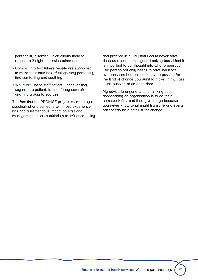personality disorder which allows them to request a 2 night admission when needed.

- **Comfort in a box** where people are supported to make their own box of things they personally find comforting and soothing
- **'No' audit** where staff reflect whenever they say no to a patient, to see if they can reframe and find a way to say yes.

The fact that the PROMISE project is co-led by a psychiatrist and someone with lived experience has had a tremendous impact on staff and management. It has enabled us to influence policy

and practice in a way that I could never have done as a lone campaigner. Looking back I feel it is important to put thought into who to approach. The person not only needs to have influence over services but also must have a passion for the kind of change you want to make. In my case I was pushing at an open door.

My advice to anyone who is thinking about approaching an organisation is to do their homework first and then give it a go because you never know what might transpire and every patient can be a catalyst for change.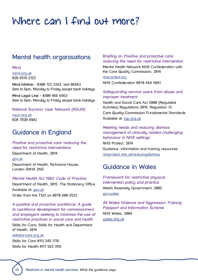# <span id="page-27-0"></span>Where can I find out more?

# **Mental health organisations**

#### **Mind**

[mind.org.uk](http://www.mind.org.uk)  020 8519 2122

**Mind Infoline** - 0300 123 3393, text 86463 9am to 6pm, Monday to Friday except bank holidays

**Mind Legal Line** - 0300 466 6463 9am to 6pm, Monday to Friday except bank holidays

#### **National Survivor User Network (NSUN)**

[nsun.org.uk](file:///Sam%20Charrington%20Design/MIND/LIAM/RESTRAINT%20GUIDE/nsun.org.uk) 020 7820 8982

## **Guidance in England**

#### **Positive and proactive care: reducing the need for restrictive interventions**

Department of Health, 2014

[gov.uk](http://www.gov.uk/government/publications/positive-and-proactive-care-reducing-restrictive-interventions) Department of Health, Richmond House, London SW1A 2NS

#### **Mental Health Act 1983: Code of Practice**

Department of Health, 2015, The Stationery Office Available at: [gov.uk](https://www.gov.uk) Order from the TSO on 0870 600 5522

**A positive and proactive workforce: A guide to workforce development for commissioners and employers seeking to minimise the use of restrictive practices in social care and health** Skills for Care, Skills for Health and Department of Health, 2014

#### [skillsforcare.org.uk](http://www.skillsforcare.org.uk/document-library/skills/restrictive-practices/a-positive-and-proactive-workforce-web.pdf)

Skills for Care 0113 245 1716 Skills for Health 0117 922 1155

#### **Briefing on Positive and proactive care: reducing the need for restrictive intervention**

Mental Health Network NHS Confederation with the Care Quality Commission, 2014

[nhsconfed.org](http://www.nhsconfed.org/~/media/Confederation/Files/Publications/Documents/Positive-and-proactive-care.pdf)

NHS Confederation 0870 444 5841

#### **Safeguarding service users from abuse and improper treatment**

Health and Social Care Act 2008 (Regulated Activities) Regulations 2014, Regulation 13 Care Quality Commission Fundamental Standards Available at: [cqc.org.uk](http://www.cqc.org.uk/content/regulation-13-safeguarding-service-users-abuse-and-improper-treatment)

#### **Meeting needs and reducing distress: management of clinically related challenging behaviour in NHS settings** NHS Protect, 2014 Guidance, information and training resources [nhsprotect.nhs.uk/reducingdistress](http://www.nhsprotect.nhs.uk/reducingdistress)

## **Guidance in Wales**

**Framework for restrictive physical intervention policy and practice** Welsh Assembly Government, 2005 [gov.wales](file:///Sam%20Charrington%20Design/MIND/LIAM/RESTRAINT%20GUIDE/gov.wales/caec/publications/childrenandyoungpeople/physicalintervention/frameworken.pdf?lang=en)

**All Wales Violence and Aggression Training Passport and Information Scheme** NHS Wales, 2004 [wales.nhs.uk](http://www.wales.nhs.uk/sites3/docmetadata.cfm?orgid=433&id=112270)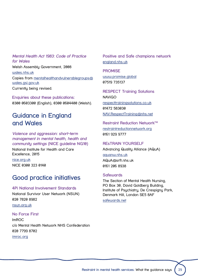<span id="page-28-0"></span>**Mental Health Act 1983: Code of Practice for Wales**  Welsh Assembly Government, 2008 [wales.nhs.uk](http://www.wales.nhs.uk/sites3/page.cfm?orgid=816&pid=33960) Copies from [mentalhealthandvulnerablegroups@](mailto:mentalhealthandvulnerablegroups@wales.gsi.gov.uk) [wales.gsi.gov.uk](mailto:mentalhealthandvulnerablegroups@wales.gsi.gov.uk) Currently being revised.

**Enquiries about these publications:** 0300 0603300 (English), 0300 0604400 (Welsh).

# **Guidance in England and Wales**

**Violence and aggression: short-term management in mental health, health and community settings (NICE guideline NG10)**

National Institute for Health and Care Excellence, 2015

[nice.org.uk](http://www.nice.org.uk/guidance/ng10) NICE 0300 323 0140

# **Good practice initiatives**

#### **4Pi National Involvement Standards**

National Survivor User Network (NSUN) 020 7820 8982 [nsun.org.uk](http://www.nsun.org.uk/about-us/our-work/national-involvement-partnership/)

#### **No Force First**

ImROC c/o Mental Health Network NHS Confederation 020 7799 8702 [imroc.org](http://www.imroc.org/)

**Positive and Safe champions network** [england.nhs.uk](http://www.england.nhs.uk/6cs/groups/positive-safe-champions/)

**PROMISE** [www.promise.global](http://www.promise.global/) 07519 735137

**RESPECT Training Solutions NAViGO** [respecttrainingsolutions.co.uk](http://respecttrainingsolutions.co.uk/) 01472 583030 [NAV.RespectTraining@nhs.net](mailto:NAV.RespectTraining%40nhs.net?subject=)

## **Restraint Reduction Network™** [restraintreductionnetwork.org](http://restraintreductionnetwork.org/) 0161 929 9777

#### **REsTRAIN YOURSELF**

Advancing Quality Alliance (AQuA) [aquanw.nhs.uk](http://www.aquanw.nhs.uk/packages/restrain-yourself/2988) AQuA@srft.nhs.uk 0161 206 8938

#### **Safewards**

The Section of Mental Health Nursing, PO Box 30, David Goldberg Building, Institute of Psychiatry, De Crespigny Park, Denmark Hill, London SE5 8AF

[safewards.net](http://www.safewards.net/)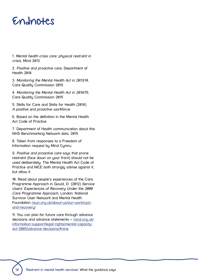# <span id="page-29-0"></span>Endnotes

1. Mental health crisis care: physical restraint in crisis, Mind 2013

2. Positive and proactive care, Department of Health 2014

3. Monitoring the Mental Health Act in 2013/14, Care Quality Commission 2015

4. Monitoring the Mental Health Act in 2014/15, Care Quality Commission 2015

5. Skills for Care and Skills for Health (2014) A positive and proactive workforce

6. Based on the definition in the Mental Health Act Code of Practice

7. Department of Health communication about this NHS Benchmarking Network data, 2015

8. Taken from responses to a Freedom of Information request by Mind Cymru.

9. Positive and proactive care says that prone restraint (face down on your front) should not be used deliberately. The Mental Health Act Code of Practice and NICE both strongly advise against it, but allow it.

10. Read about people's experiences of the Care Programme Approach in Gould, D. (2012) Service Users' Experiences of Recovery Under the 2008 Care Programme Approach, London: National Survivor User Network and Mental Health Foundation [nsun.org.uk/about-us/our-work/cpa](http://www.nsun.org.uk/about-us/our-work/cpa-and-recovery/)[and-recovery/](http://www.nsun.org.uk/about-us/our-work/cpa-and-recovery/)

11. You can plan for future care through advance decisions and advance statements – [mind.org.uk/](http://www.mind.org.uk/information-support/legal-rights/mental-capacity-act-2005/advance-decisions/#nine) [information-support/legal-rights/mental-capacity](http://www.mind.org.uk/information-support/legal-rights/mental-capacity-act-2005/advance-decisions/#nine)[act-2005/advance-decisions/#nine](http://www.mind.org.uk/information-support/legal-rights/mental-capacity-act-2005/advance-decisions/#nine)